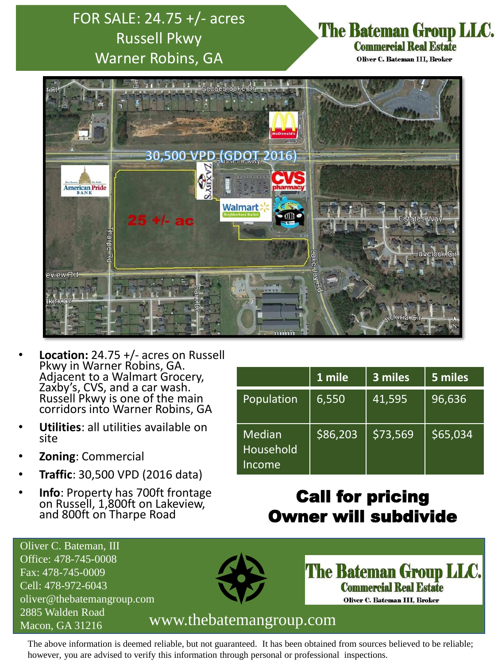# FOR SALE: 24.75 +/- acres Russell Pkwy Warner Robins, GA

## The Bateman Group LLC. **Commercial Real Estate**

Oliver C. Bateman III, Broker



- **Location:** 24.75 +/- acres on Russell Pkwy in Warner Robins, GA. Adjacent to a Walmart Grocery, Zaxby's, CVS, and a car wash. Russell Pkwy is one of the main corridors into Warner Robins, GA
- **Utilities**: all utilities available on site
- **Zoning**: Commercial
- **Traffic**: 30,500 VPD (2016 data)
- **Info**: Property has 700ft frontage on Russell, 1,800ft on Lakeview, and 800ft on Tharpe Road

|                                      | 1 mile   | 3 miles  | 5 miles  |
|--------------------------------------|----------|----------|----------|
| Population                           | 6,550    | 41,595   | 96,636   |
| <b>Median</b><br>Household<br>Income | \$86,203 | \$73,569 | \$65,034 |

# Call for pricing Owner will subdivide

Oliver C. Bateman, III Office: 478-745-0008 Fax: 478-745-0009 Cell: 478-972-6043 oliver@thebatemangroup.com 2885 Walden Road



**The Bateman Group LLC. Commercial Real Estate** Oliver C. Bateman III, Broker

### Macon, GA 31216 www.thebatemangroup.com

The above information is deemed reliable, but not guaranteed. It has been obtained from sources believed to be reliable; however, you are advised to verify this information through personal or professional inspections.